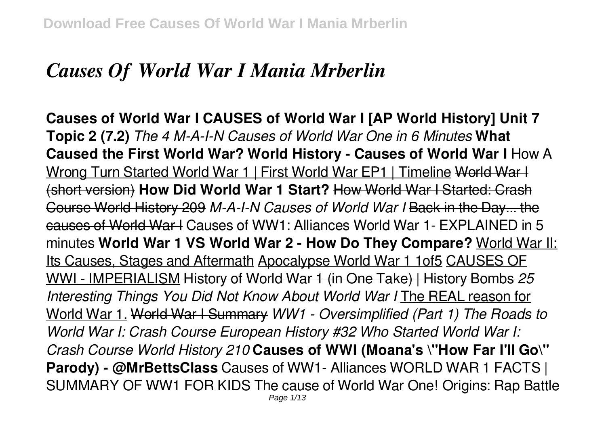# *Causes Of World War I Mania Mrberlin*

**Causes of World War I CAUSES of World War I [AP World History] Unit 7 Topic 2 (7.2)** *The 4 M-A-I-N Causes of World War One in 6 Minutes* **What Caused the First World War? World History - Causes of World War I** How A Wrong Turn Started World War 1 | First World War EP1 | Timeline World War I (short version) **How Did World War 1 Start?** How World War I Started: Crash Course World History 209 *M-A-I-N Causes of World War I* Back in the Day... the causes of World War I Causes of WW1: Alliances World War 1- EXPLAINED in 5 minutes **World War 1 VS World War 2 - How Do They Compare?** World War II: Its Causes, Stages and Aftermath Apocalypse World War 1 1of5 CAUSES OF WWI - IMPERIALISM History of World War 1 (in One Take) | History Bombs *25 Interesting Things You Did Not Know About World War I* The REAL reason for World War 1. World War I Summary *WW1 - Oversimplified (Part 1) The Roads to World War I: Crash Course European History #32 Who Started World War I: Crash Course World History 210* **Causes of WWI (Moana's \"How Far I'll Go\" Parody) - @MrBettsClass** Causes of WW1- Alliances WORLD WAR 1 FACTS | SUMMARY OF WW1 FOR KIDS The cause of World War One! Origins: Rap Battle Page 1/13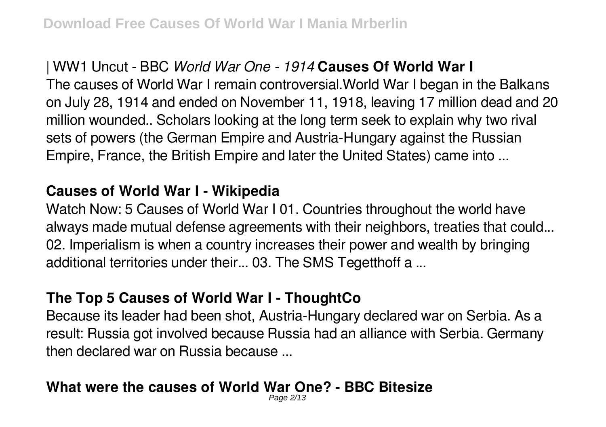### | WW1 Uncut - BBC *World War One - 1914* **Causes Of World War I**

The causes of World War I remain controversial.World War I began in the Balkans on July 28, 1914 and ended on November 11, 1918, leaving 17 million dead and 20 million wounded.. Scholars looking at the long term seek to explain why two rival sets of powers (the German Empire and Austria-Hungary against the Russian Empire, France, the British Empire and later the United States) came into ...

#### **Causes of World War I - Wikipedia**

Watch Now: 5 Causes of World War I 01. Countries throughout the world have always made mutual defense agreements with their neighbors, treaties that could... 02. Imperialism is when a country increases their power and wealth by bringing additional territories under their... 03. The SMS Tegetthoff a ...

#### **The Top 5 Causes of World War I - ThoughtCo**

Because its leader had been shot, Austria-Hungary declared war on Serbia. As a result: Russia got involved because Russia had an alliance with Serbia. Germany then declared war on Russia because ...

#### **What were the causes of World War One? - BBC Bitesize** Page 2/13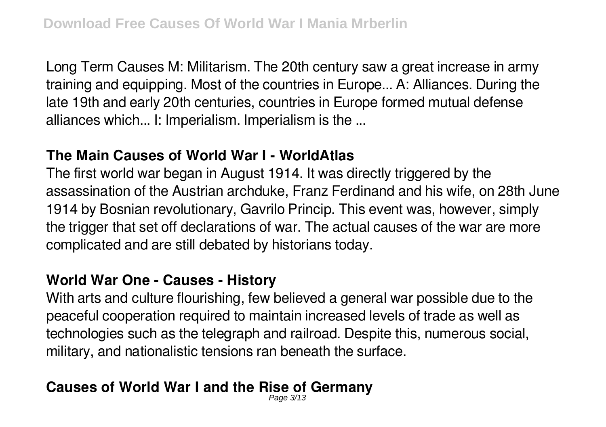Long Term Causes M: Militarism. The 20th century saw a great increase in army training and equipping. Most of the countries in Europe... A: Alliances. During the late 19th and early 20th centuries, countries in Europe formed mutual defense alliances which... I: Imperialism. Imperialism is the ...

#### **The Main Causes of World War I - WorldAtlas**

The first world war began in August 1914. It was directly triggered by the assassination of the Austrian archduke, Franz Ferdinand and his wife, on 28th June 1914 by Bosnian revolutionary, Gavrilo Princip. This event was, however, simply the trigger that set off declarations of war. The actual causes of the war are more complicated and are still debated by historians today.

### **World War One - Causes - History**

With arts and culture flourishing, few believed a general war possible due to the peaceful cooperation required to maintain increased levels of trade as well as technologies such as the telegraph and railroad. Despite this, numerous social, military, and nationalistic tensions ran beneath the surface.

#### **Causes of World War I and the Rise of Germany** Page 3/13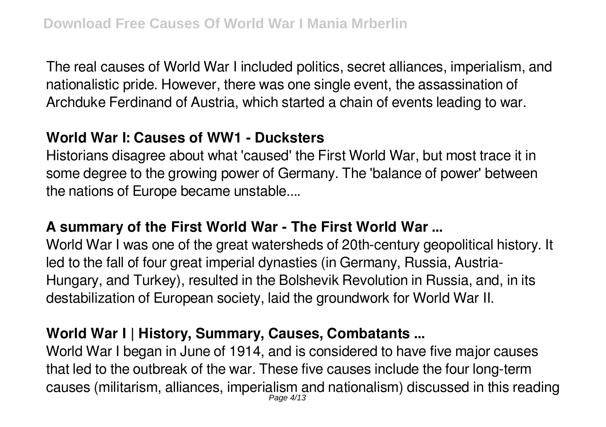The real causes of World War I included politics, secret alliances, imperialism, and nationalistic pride. However, there was one single event, the assassination of Archduke Ferdinand of Austria, which started a chain of events leading to war.

### **World War I: Causes of WW1 - Ducksters**

Historians disagree about what 'caused' the First World War, but most trace it in some degree to the growing power of Germany. The 'balance of power' between the nations of Europe became unstable....

### **A summary of the First World War - The First World War ...**

World War I was one of the great watersheds of 20th-century geopolitical history. It led to the fall of four great imperial dynasties (in Germany, Russia, Austria-Hungary, and Turkey), resulted in the Bolshevik Revolution in Russia, and, in its destabilization of European society, laid the groundwork for World War II.

## **World War I | History, Summary, Causes, Combatants ...**

World War I began in June of 1914, and is considered to have five major causes that led to the outbreak of the war. These five causes include the four long-term causes (militarism, alliances, imperialism and nationalism) discussed in this reading Page 4/13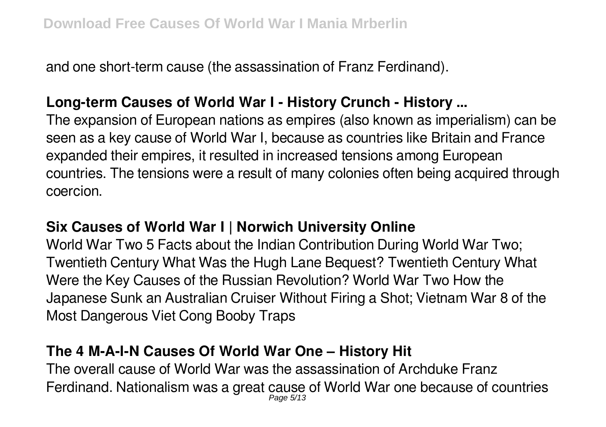and one short-term cause (the assassination of Franz Ferdinand).

### **Long-term Causes of World War I - History Crunch - History ...**

The expansion of European nations as empires (also known as imperialism) can be seen as a key cause of World War I, because as countries like Britain and France expanded their empires, it resulted in increased tensions among European countries. The tensions were a result of many colonies often being acquired through coercion.

### **Six Causes of World War I | Norwich University Online**

World War Two 5 Facts about the Indian Contribution During World War Two; Twentieth Century What Was the Hugh Lane Bequest? Twentieth Century What Were the Key Causes of the Russian Revolution? World War Two How the Japanese Sunk an Australian Cruiser Without Firing a Shot; Vietnam War 8 of the Most Dangerous Viet Cong Booby Traps

### **The 4 M-A-I-N Causes Of World War One – History Hit**

The overall cause of World War was the assassination of Archduke Franz Ferdinand. Nationalism was a great cause of World War one because of countries Page 5/13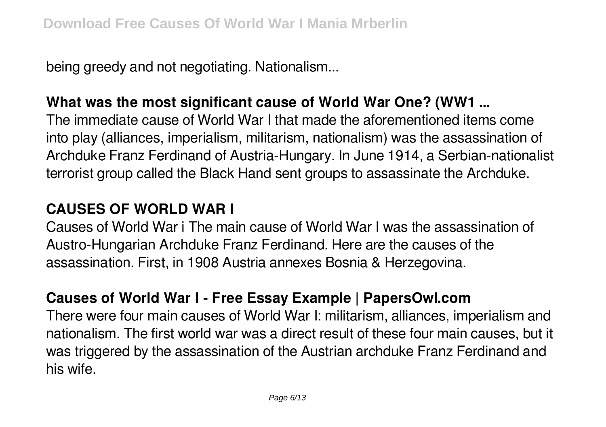being greedy and not negotiating. Nationalism...

### **What was the most significant cause of World War One? (WW1 ...**

The immediate cause of World War I that made the aforementioned items come into play (alliances, imperialism, militarism, nationalism) was the assassination of Archduke Franz Ferdinand of Austria-Hungary. In June 1914, a Serbian-nationalist terrorist group called the Black Hand sent groups to assassinate the Archduke.

### **CAUSES OF WORLD WAR I**

Causes of World War i The main cause of World War I was the assassination of Austro-Hungarian Archduke Franz Ferdinand. Here are the causes of the assassination. First, in 1908 Austria annexes Bosnia & Herzegovina.

### **Causes of World War I - Free Essay Example | PapersOwl.com**

There were four main causes of World War I: militarism, alliances, imperialism and nationalism. The first world war was a direct result of these four main causes, but it was triggered by the assassination of the Austrian archduke Franz Ferdinand and his wife.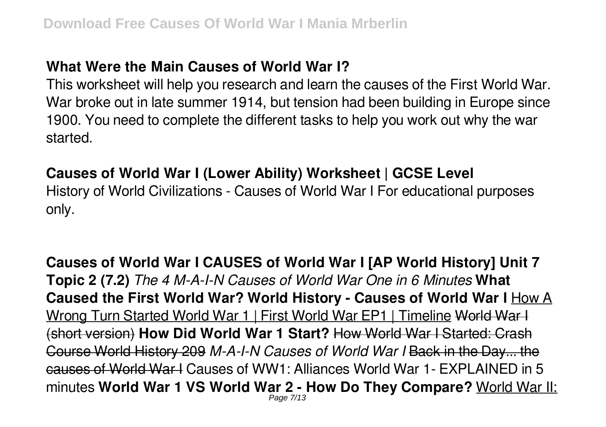#### **What Were the Main Causes of World War I?**

This worksheet will help you research and learn the causes of the First World War. War broke out in late summer 1914, but tension had been building in Europe since 1900. You need to complete the different tasks to help you work out why the war started.

#### **Causes of World War I (Lower Ability) Worksheet | GCSE Level**

History of World Civilizations - Causes of World War I For educational purposes only.

**Causes of World War I CAUSES of World War I [AP World History] Unit 7 Topic 2 (7.2)** *The 4 M-A-I-N Causes of World War One in 6 Minutes* **What Caused the First World War? World History - Causes of World War I** How A Wrong Turn Started World War 1 | First World War EP1 | Timeline World War I (short version) **How Did World War 1 Start?** How World War I Started: Crash Course World History 209 *M-A-I-N Causes of World War I* Back in the Day... the causes of World War I Causes of WW1: Alliances World War 1- EXPLAINED in 5 minutes **World War 1 VS World War 2 - How Do They Compare?** World War II: Page 7/13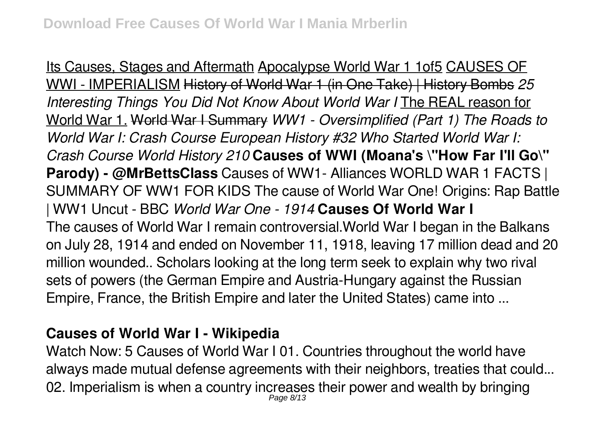Its Causes, Stages and Aftermath Apocalypse World War 1 1of5 CAUSES OF WWI - IMPERIALISM History of World War 1 (in One Take) | History Bombs *25 Interesting Things You Did Not Know About World War I* The REAL reason for World War 1. World War I Summary *WW1 - Oversimplified (Part 1) The Roads to World War I: Crash Course European History #32 Who Started World War I: Crash Course World History 210* **Causes of WWI (Moana's \"How Far I'll Go\" Parody) - @MrBettsClass** Causes of WW1- Alliances WORLD WAR 1 FACTS | SUMMARY OF WW1 FOR KIDS The cause of World War One! Origins: Rap Battle | WW1 Uncut - BBC *World War One - 1914* **Causes Of World War I** The causes of World War I remain controversial.World War I began in the Balkans on July 28, 1914 and ended on November 11, 1918, leaving 17 million dead and 20 million wounded.. Scholars looking at the long term seek to explain why two rival sets of powers (the German Empire and Austria-Hungary against the Russian Empire, France, the British Empire and later the United States) came into ...

#### **Causes of World War I - Wikipedia**

Watch Now: 5 Causes of World War I 01. Countries throughout the world have always made mutual defense agreements with their neighbors, treaties that could... 02. Imperialism is when a country increases their power and wealth by bringing Page 8/13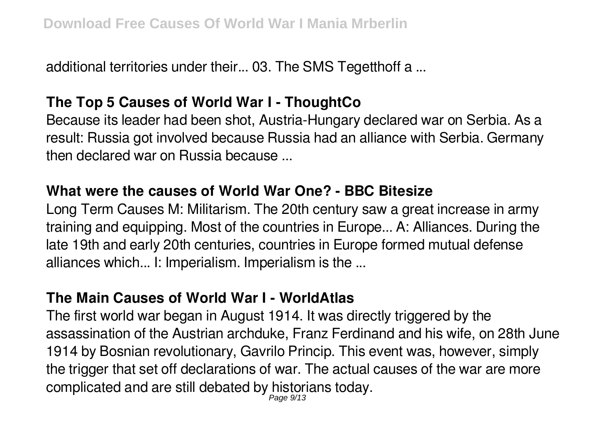additional territories under their... 03. The SMS Tegetthoff a ...

### **The Top 5 Causes of World War I - ThoughtCo**

Because its leader had been shot, Austria-Hungary declared war on Serbia. As a result: Russia got involved because Russia had an alliance with Serbia. Germany then declared war on Russia because ...

### **What were the causes of World War One? - BBC Bitesize**

Long Term Causes M: Militarism. The 20th century saw a great increase in army training and equipping. Most of the countries in Europe... A: Alliances. During the late 19th and early 20th centuries, countries in Europe formed mutual defense alliances which... I: Imperialism. Imperialism is the ...

### **The Main Causes of World War I - WorldAtlas**

The first world war began in August 1914. It was directly triggered by the assassination of the Austrian archduke, Franz Ferdinand and his wife, on 28th June 1914 by Bosnian revolutionary, Gavrilo Princip. This event was, however, simply the trigger that set off declarations of war. The actual causes of the war are more complicated and are still debated by historians today.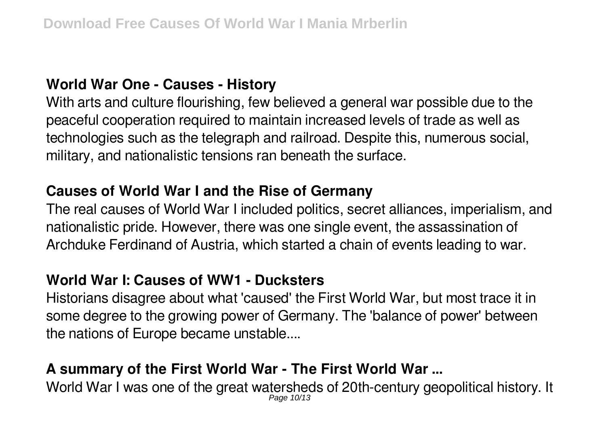### **World War One - Causes - History**

With arts and culture flourishing, few believed a general war possible due to the peaceful cooperation required to maintain increased levels of trade as well as technologies such as the telegraph and railroad. Despite this, numerous social, military, and nationalistic tensions ran beneath the surface.

### **Causes of World War I and the Rise of Germany**

The real causes of World War I included politics, secret alliances, imperialism, and nationalistic pride. However, there was one single event, the assassination of Archduke Ferdinand of Austria, which started a chain of events leading to war.

#### **World War I: Causes of WW1 - Ducksters**

Historians disagree about what 'caused' the First World War, but most trace it in some degree to the growing power of Germany. The 'balance of power' between the nations of Europe became unstable....

## **A summary of the First World War - The First World War ...**

World War I was one of the great watersheds of 20th-century geopolitical history. It Page 10/13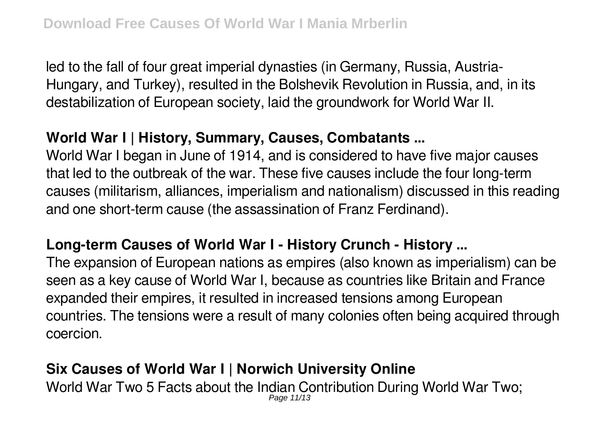led to the fall of four great imperial dynasties (in Germany, Russia, Austria-Hungary, and Turkey), resulted in the Bolshevik Revolution in Russia, and, in its destabilization of European society, laid the groundwork for World War II.

### **World War I | History, Summary, Causes, Combatants ...**

World War I began in June of 1914, and is considered to have five major causes that led to the outbreak of the war. These five causes include the four long-term causes (militarism, alliances, imperialism and nationalism) discussed in this reading and one short-term cause (the assassination of Franz Ferdinand).

### **Long-term Causes of World War I - History Crunch - History ...**

The expansion of European nations as empires (also known as imperialism) can be seen as a key cause of World War I, because as countries like Britain and France expanded their empires, it resulted in increased tensions among European countries. The tensions were a result of many colonies often being acquired through coercion.

### **Six Causes of World War I | Norwich University Online**

World War Two 5 Facts about the Indian Contribution During World War Two; Page 11/13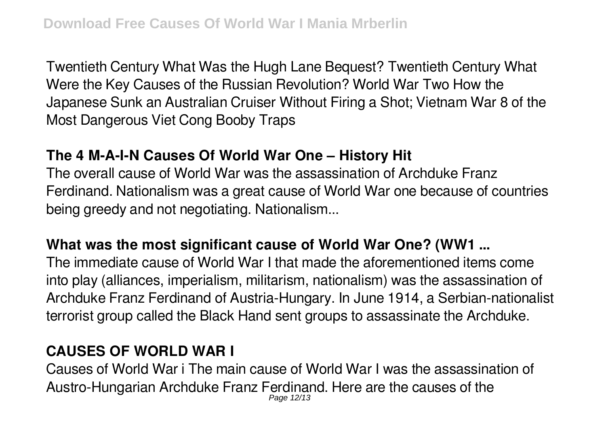Twentieth Century What Was the Hugh Lane Bequest? Twentieth Century What Were the Key Causes of the Russian Revolution? World War Two How the Japanese Sunk an Australian Cruiser Without Firing a Shot; Vietnam War 8 of the Most Dangerous Viet Cong Booby Traps

### **The 4 M-A-I-N Causes Of World War One – History Hit**

The overall cause of World War was the assassination of Archduke Franz Ferdinand. Nationalism was a great cause of World War one because of countries being greedy and not negotiating. Nationalism...

### **What was the most significant cause of World War One? (WW1 ...**

The immediate cause of World War I that made the aforementioned items come into play (alliances, imperialism, militarism, nationalism) was the assassination of Archduke Franz Ferdinand of Austria-Hungary. In June 1914, a Serbian-nationalist terrorist group called the Black Hand sent groups to assassinate the Archduke.

## **CAUSES OF WORLD WAR I**

Causes of World War i The main cause of World War I was the assassination of Austro-Hungarian Archduke Franz Ferdinand. Here are the causes of the Page 12/13